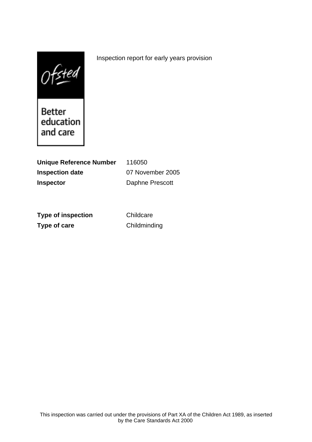$0$ fsted

Better education and care

**Unique Reference Number** 116050 **Inspection date** 07 November 2005 **Inspector** Daphne Prescott

**Type of inspection** Childcare **Type of care** Childminding

Inspection report for early years provision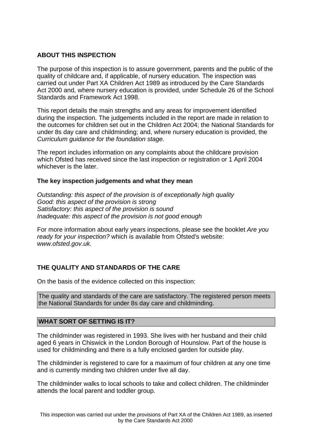## **ABOUT THIS INSPECTION**

The purpose of this inspection is to assure government, parents and the public of the quality of childcare and, if applicable, of nursery education. The inspection was carried out under Part XA Children Act 1989 as introduced by the Care Standards Act 2000 and, where nursery education is provided, under Schedule 26 of the School Standards and Framework Act 1998.

This report details the main strengths and any areas for improvement identified during the inspection. The judgements included in the report are made in relation to the outcomes for children set out in the Children Act 2004; the National Standards for under 8s day care and childminding; and, where nursery education is provided, the Curriculum guidance for the foundation stage.

The report includes information on any complaints about the childcare provision which Ofsted has received since the last inspection or registration or 1 April 2004 whichever is the later.

## **The key inspection judgements and what they mean**

Outstanding: this aspect of the provision is of exceptionally high quality Good: this aspect of the provision is strong Satisfactory: this aspect of the provision is sound Inadequate: this aspect of the provision is not good enough

For more information about early years inspections, please see the booklet Are you ready for your inspection? which is available from Ofsted's website: www.ofsted.gov.uk.

# **THE QUALITY AND STANDARDS OF THE CARE**

On the basis of the evidence collected on this inspection:

The quality and standards of the care are satisfactory. The registered person meets the National Standards for under 8s day care and childminding.

## **WHAT SORT OF SETTING IS IT?**

The childminder was registered in 1993. She lives with her husband and their child aged 6 years in Chiswick in the London Borough of Hounslow. Part of the house is used for childminding and there is a fully enclosed garden for outside play.

The childminder is registered to care for a maximum of four children at any one time and is currently minding two children under five all day.

The childminder walks to local schools to take and collect children. The childminder attends the local parent and toddler group.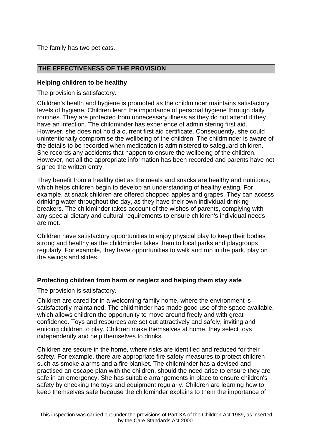The family has two pet cats.

## **THE EFFECTIVENESS OF THE PROVISION**

## **Helping children to be healthy**

The provision is satisfactory.

Children's health and hygiene is promoted as the childminder maintains satisfactory levels of hygiene. Children learn the importance of personal hygiene through daily routines. They are protected from unnecessary illness as they do not attend if they have an infection. The childminder has experience of administering first aid. However, she does not hold a current first aid certificate. Consequently, she could unintentionally compromise the wellbeing of the children. The childminder is aware of the details to be recorded when medication is administered to safeguard children. She records any accidents that happen to ensure the wellbeing of the children. However, not all the appropriate information has been recorded and parents have not signed the written entry.

They benefit from a healthy diet as the meals and snacks are healthy and nutritious, which helps children begin to develop an understanding of healthy eating. For example, at snack children are offered chopped apples and grapes. They can access drinking water throughout the day, as they have their own individual drinking breakers. The childminder takes account of the wishes of parents, complying with any special dietary and cultural requirements to ensure children's individual needs are met.

Children have satisfactory opportunities to enjoy physical play to keep their bodies strong and healthy as the childminder takes them to local parks and playgroups regularly. For example, they have opportunities to walk and run in the park, play on the swings and slides.

## **Protecting children from harm or neglect and helping them stay safe**

The provision is satisfactory.

Children are cared for in a welcoming family home, where the environment is satisfactorily maintained. The childminder has made good use of the space available, which allows children the opportunity to move around freely and with great confidence. Toys and resources are set out attractively and safely, inviting and enticing children to play. Children make themselves at home, they select toys independently and help themselves to drinks.

Children are secure in the home, where risks are identified and reduced for their safety. For example, there are appropriate fire safety measures to protect children such as smoke alarms and a fire blanket. The childminder has a devised and practised an escape plan with the children, should the need arise to ensure they are safe in an emergency. She has suitable arrangements in place to ensure children's safety by checking the toys and equipment regularly. Children are learning how to keep themselves safe because the childminder explains to them the importance of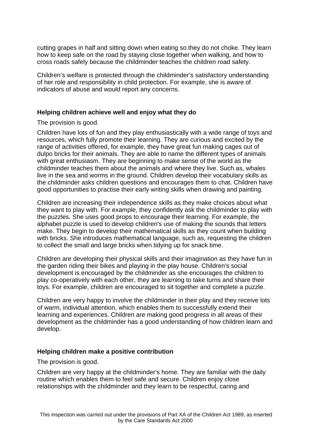cutting grapes in half and sitting down when eating so they do not choke. They learn how to keep safe on the road by staying close together when walking, and how to cross roads safely because the childminder teaches the children road safety.

Children's welfare is protected through the childminder's satisfactory understanding of her role and responsibility in child protection. For example, she is aware of indicators of abuse and would report any concerns.

### **Helping children achieve well and enjoy what they do**

The provision is good.

Children have lots of fun and they play enthusiastically with a wide range of toys and resources, which fully promote their learning. They are curious and excited by the range of activities offered, for example, they have great fun making cages out of dulpo bricks for their animals. They are able to name the different types of animals with great enthusiasm. They are beginning to make sense of the world as the childminder teaches them about the animals and where they live. Such as, whales live in the sea and worms in the ground. Children develop their vocabulary skills as the childminder asks children questions and encourages them to chat. Children have good opportunities to practise their early writing skills when drawing and painting.

Children are increasing their independence skills as they make choices about what they want to play with. For example, they confidently ask the childminder to play with the puzzles. She uses good props to encourage their learning. For example, the alphabet puzzle is used to develop children's use of making the sounds that letters make. They begin to develop their mathematical skills as they count when building with bricks. She introduces mathematical language, such as, requesting the children to collect the small and large bricks when tidying up for snack time.

Children are developing their physical skills and their imagination as they have fun in the garden riding their bikes and playing in the play house. Children's social development is encouraged by the childminder as she encourages the children to play co-operatively with each other, they are learning to take turns and share their toys. For example, children are encouraged to sit together and complete a puzzle.

Children are very happy to involve the childminder in their play and they receive lots of warm, individual attention, which enables them to successfully extend their learning and experiences. Children are making good progress in all areas of their development as the childminder has a good understanding of how children learn and develop.

#### **Helping children make a positive contribution**

The provision is good.

Children are very happy at the childminder's home. They are familiar with the daily routine which enables them to feel safe and secure. Children enjoy close relationships with the childminder and they learn to be respectful, caring and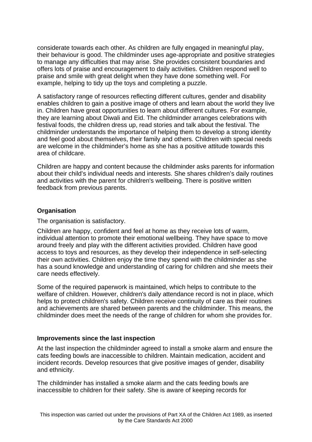considerate towards each other. As children are fully engaged in meaningful play, their behaviour is good. The childminder uses age-appropriate and positive strategies to manage any difficulties that may arise. She provides consistent boundaries and offers lots of praise and encouragement to daily activities. Children respond well to praise and smile with great delight when they have done something well. For example, helping to tidy up the toys and completing a puzzle.

A satisfactory range of resources reflecting different cultures, gender and disability enables children to gain a positive image of others and learn about the world they live in. Children have great opportunities to learn about different cultures. For example, they are learning about Diwali and Eid. The childminder arranges celebrations with festival foods, the children dress up, read stories and talk about the festival. The childminder understands the importance of helping them to develop a strong identity and feel good about themselves, their family and others. Children with special needs are welcome in the childminder's home as she has a positive attitude towards this area of childcare.

Children are happy and content because the childminder asks parents for information about their child's individual needs and interests. She shares children's daily routines and activities with the parent for children's wellbeing. There is positive written feedback from previous parents.

# **Organisation**

The organisation is satisfactory.

Children are happy, confident and feel at home as they receive lots of warm, individual attention to promote their emotional wellbeing. They have space to move around freely and play with the different activities provided. Children have good access to toys and resources, as they develop their independence in self-selecting their own activities. Children enjoy the time they spend with the childminder as she has a sound knowledge and understanding of caring for children and she meets their care needs effectively.

Some of the required paperwork is maintained, which helps to contribute to the welfare of children. However, children's daily attendance record is not in place, which helps to protect children's safety. Children receive continuity of care as their routines and achievements are shared between parents and the childminder. This means, the childminder does meet the needs of the range of children for whom she provides for.

# **Improvements since the last inspection**

At the last inspection the childminder agreed to install a smoke alarm and ensure the cats feeding bowls are inaccessible to children. Maintain medication, accident and incident records. Develop resources that give positive images of gender, disability and ethnicity.

The childminder has installed a smoke alarm and the cats feeding bowls are inaccessible to children for their safety. She is aware of keeping records for